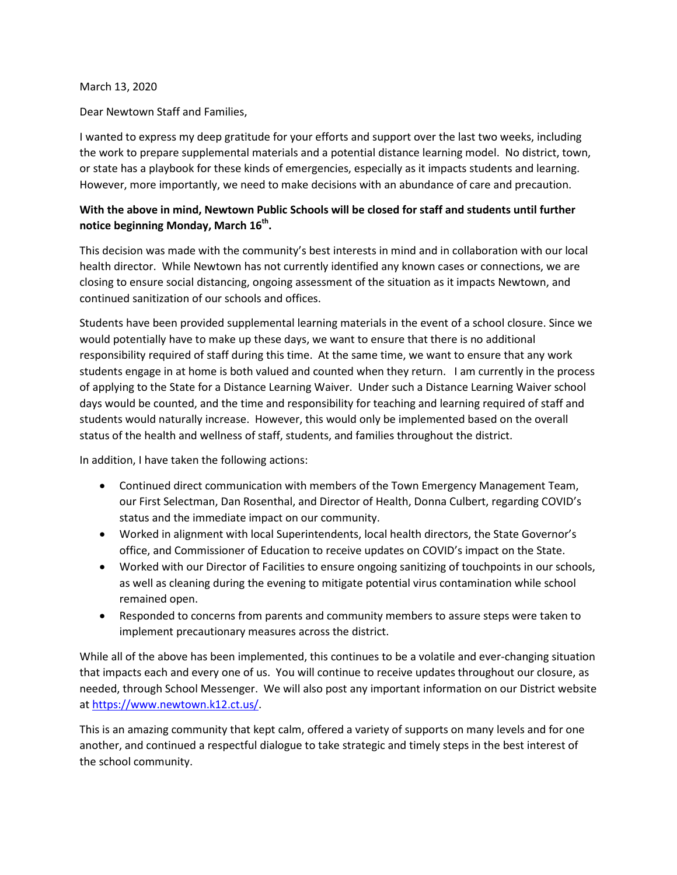## March 13, 2020

Dear Newtown Staff and Families,

I wanted to express my deep gratitude for your efforts and support over the last two weeks, including the work to prepare supplemental materials and a potential distance learning model. No district, town, or state has a playbook for these kinds of emergencies, especially as it impacts students and learning. However, more importantly, we need to make decisions with an abundance of care and precaution.

## **With the above in mind, Newtown Public Schools will be closed for staff and students until further notice beginning Monday, March 16th.**

This decision was made with the community's best interests in mind and in collaboration with our local health director. While Newtown has not currently identified any known cases or connections, we are closing to ensure social distancing, ongoing assessment of the situation as it impacts Newtown, and continued sanitization of our schools and offices.

Students have been provided supplemental learning materials in the event of a school closure. Since we would potentially have to make up these days, we want to ensure that there is no additional responsibility required of staff during this time. At the same time, we want to ensure that any work students engage in at home is both valued and counted when they return. I am currently in the process of applying to the State for a Distance Learning Waiver. Under such a Distance Learning Waiver school days would be counted, and the time and responsibility for teaching and learning required of staff and students would naturally increase. However, this would only be implemented based on the overall status of the health and wellness of staff, students, and families throughout the district.

In addition, I have taken the following actions:

- Continued direct communication with members of the Town Emergency Management Team, our First Selectman, Dan Rosenthal, and Director of Health, Donna Culbert, regarding COVID's status and the immediate impact on our community.
- Worked in alignment with local Superintendents, local health directors, the State Governor's office, and Commissioner of Education to receive updates on COVID's impact on the State.
- Worked with our Director of Facilities to ensure ongoing sanitizing of touchpoints in our schools, as well as cleaning during the evening to mitigate potential virus contamination while school remained open.
- Responded to concerns from parents and community members to assure steps were taken to implement precautionary measures across the district.

While all of the above has been implemented, this continues to be a volatile and ever-changing situation that impacts each and every one of us. You will continue to receive updates throughout our closure, as needed, through School Messenger. We will also post any important information on our District website at [https://www.newtown.k12.ct.us/.](https://www.newtown.k12.ct.us/)

This is an amazing community that kept calm, offered a variety of supports on many levels and for one another, and continued a respectful dialogue to take strategic and timely steps in the best interest of the school community.